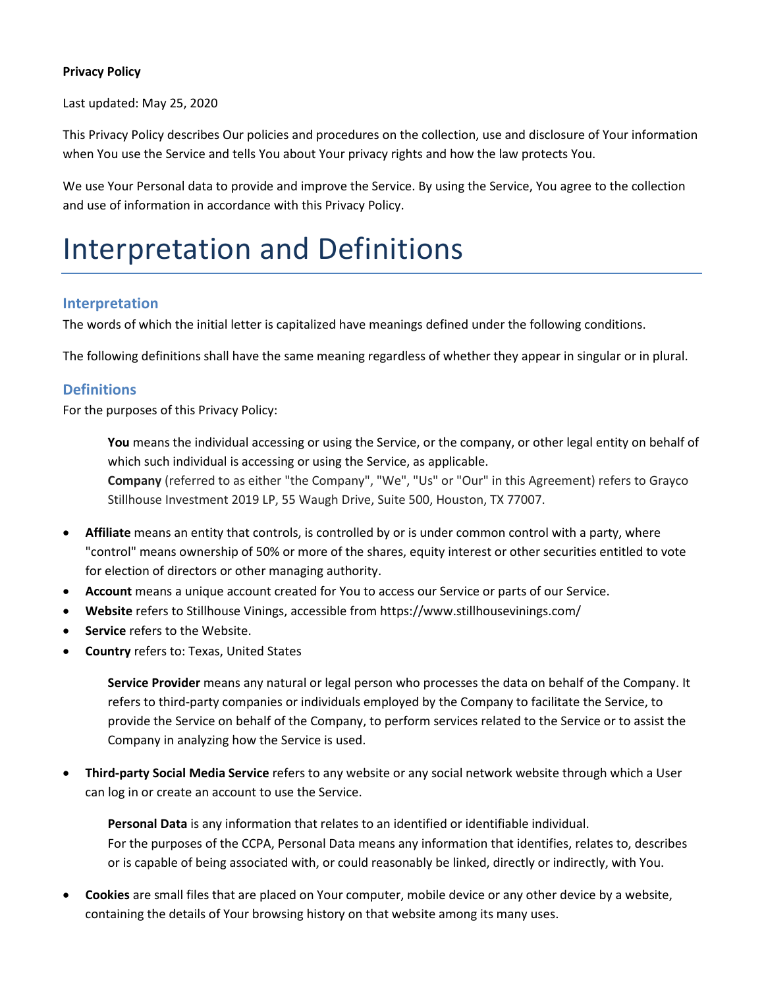#### **Privacy Policy**

Last updated: May 25, 2020

This Privacy Policy describes Our policies and procedures on the collection, use and disclosure of Your information when You use the Service and tells You about Your privacy rights and how the law protects You.

We use Your Personal data to provide and improve the Service. By using the Service, You agree to the collection and use of information in accordance with this Privacy Policy.

## Interpretation and Definitions

#### **Interpretation**

The words of which the initial letter is capitalized have meanings defined under the following conditions.

The following definitions shall have the same meaning regardless of whether they appear in singular or in plural.

### **Definitions**

For the purposes of this Privacy Policy:

**You** means the individual accessing or using the Service, or the company, or other legal entity on behalf of which such individual is accessing or using the Service, as applicable.

**Company** (referred to as either "the Company", "We", "Us" or "Our" in this Agreement) refers to Grayco Stillhouse Investment 2019 LP, 55 Waugh Drive, Suite 500, Houston, TX 77007.

- **Affiliate** means an entity that controls, is controlled by or is under common control with a party, where "control" means ownership of 50% or more of the shares, equity interest or other securities entitled to vote for election of directors or other managing authority.
- Account means a unique account created for You to access our Service or parts of our Service.
- **Website** refers to Stillhouse Vinings, accessible from https://www.stillhousevinings.com/
- **Service** refers to the Website.
- **Country** refers to: Texas, United States

**Service Provider** means any natural or legal person who processes the data on behalf of the Company. It refers to third-party companies or individuals employed by the Company to facilitate the Service, to provide the Service on behalf of the Company, to perform services related to the Service or to assist the Company in analyzing how the Service is used.

• **Third-party Social Media Service** refers to any website or any social network website through which a User can log in or create an account to use the Service.

**Personal Data** is any information that relates to an identified or identifiable individual. For the purposes of the CCPA, Personal Data means any information that identifies, relates to, describes or is capable of being associated with, or could reasonably be linked, directly or indirectly, with You.

• **Cookies** are small files that are placed on Your computer, mobile device or any other device by a website, containing the details of Your browsing history on that website among its many uses.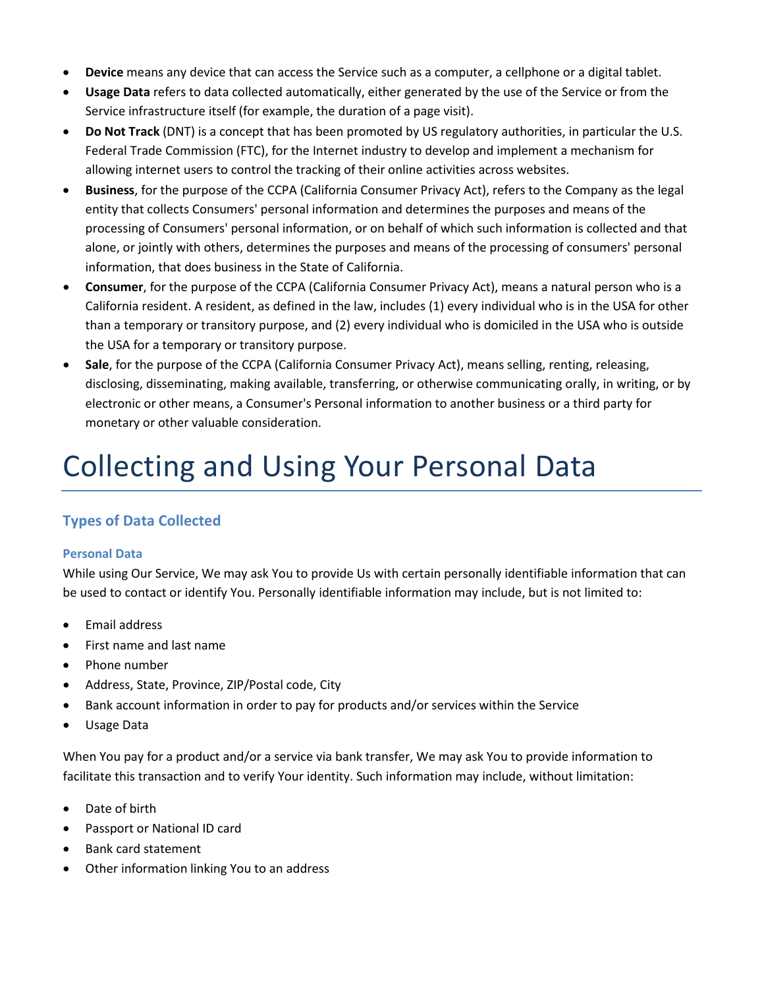- **Device** means any device that can access the Service such as a computer, a cellphone or a digital tablet.
- **Usage Data** refers to data collected automatically, either generated by the use of the Service or from the Service infrastructure itself (for example, the duration of a page visit).
- **Do Not Track** (DNT) is a concept that has been promoted by US regulatory authorities, in particular the U.S. Federal Trade Commission (FTC), for the Internet industry to develop and implement a mechanism for allowing internet users to control the tracking of their online activities across websites.
- **Business**, for the purpose of the CCPA (California Consumer Privacy Act), refers to the Company as the legal entity that collects Consumers' personal information and determines the purposes and means of the processing of Consumers' personal information, or on behalf of which such information is collected and that alone, or jointly with others, determines the purposes and means of the processing of consumers' personal information, that does business in the State of California.
- **Consumer**, for the purpose of the CCPA (California Consumer Privacy Act), means a natural person who is a California resident. A resident, as defined in the law, includes (1) every individual who is in the USA for other than a temporary or transitory purpose, and (2) every individual who is domiciled in the USA who is outside the USA for a temporary or transitory purpose.
- **Sale**, for the purpose of the CCPA (California Consumer Privacy Act), means selling, renting, releasing, disclosing, disseminating, making available, transferring, or otherwise communicating orally, in writing, or by electronic or other means, a Consumer's Personal information to another business or a third party for monetary or other valuable consideration.

# Collecting and Using Your Personal Data

## **Types of Data Collected**

#### **Personal Data**

While using Our Service, We may ask You to provide Us with certain personally identifiable information that can be used to contact or identify You. Personally identifiable information may include, but is not limited to:

- Email address
- First name and last name
- Phone number
- Address, State, Province, ZIP/Postal code, City
- Bank account information in order to pay for products and/or services within the Service
- Usage Data

When You pay for a product and/or a service via bank transfer, We may ask You to provide information to facilitate this transaction and to verify Your identity. Such information may include, without limitation:

- Date of birth
- Passport or National ID card
- Bank card statement
- Other information linking You to an address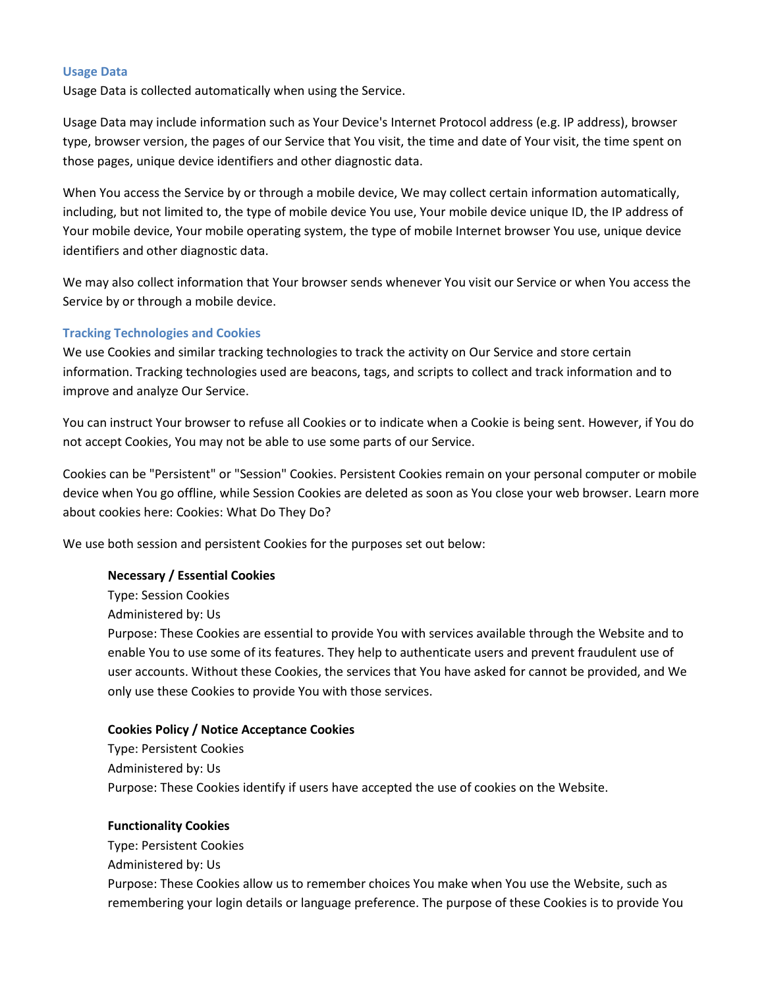#### **Usage Data**

Usage Data is collected automatically when using the Service.

Usage Data may include information such as Your Device's Internet Protocol address (e.g. IP address), browser type, browser version, the pages of our Service that You visit, the time and date of Your visit, the time spent on those pages, unique device identifiers and other diagnostic data.

When You access the Service by or through a mobile device, We may collect certain information automatically, including, but not limited to, the type of mobile device You use, Your mobile device unique ID, the IP address of Your mobile device, Your mobile operating system, the type of mobile Internet browser You use, unique device identifiers and other diagnostic data.

We may also collect information that Your browser sends whenever You visit our Service or when You access the Service by or through a mobile device.

#### **Tracking Technologies and Cookies**

We use Cookies and similar tracking technologies to track the activity on Our Service and store certain information. Tracking technologies used are beacons, tags, and scripts to collect and track information and to improve and analyze Our Service.

You can instruct Your browser to refuse all Cookies or to indicate when a Cookie is being sent. However, if You do not accept Cookies, You may not be able to use some parts of our Service.

Cookies can be "Persistent" or "Session" Cookies. Persistent Cookies remain on your personal computer or mobile device when You go offline, while Session Cookies are deleted as soon as You close your web browser. Learn more about cookies here: [Cookies: What Do They Do?](https://www.freeprivacypolicy.com/blog/cookies/)

We use both session and persistent Cookies for the purposes set out below:

#### **Necessary / Essential Cookies**

Type: Session Cookies

Administered by: Us

Purpose: These Cookies are essential to provide You with services available through the Website and to enable You to use some of its features. They help to authenticate users and prevent fraudulent use of user accounts. Without these Cookies, the services that You have asked for cannot be provided, and We only use these Cookies to provide You with those services.

#### **Cookies Policy / Notice Acceptance Cookies**

Type: Persistent Cookies Administered by: Us Purpose: These Cookies identify if users have accepted the use of cookies on the Website.

#### **Functionality Cookies**

Type: Persistent Cookies Administered by: Us Purpose: These Cookies allow us to remember choices You make when You use the Website, such as remembering your login details or language preference. The purpose of these Cookies is to provide You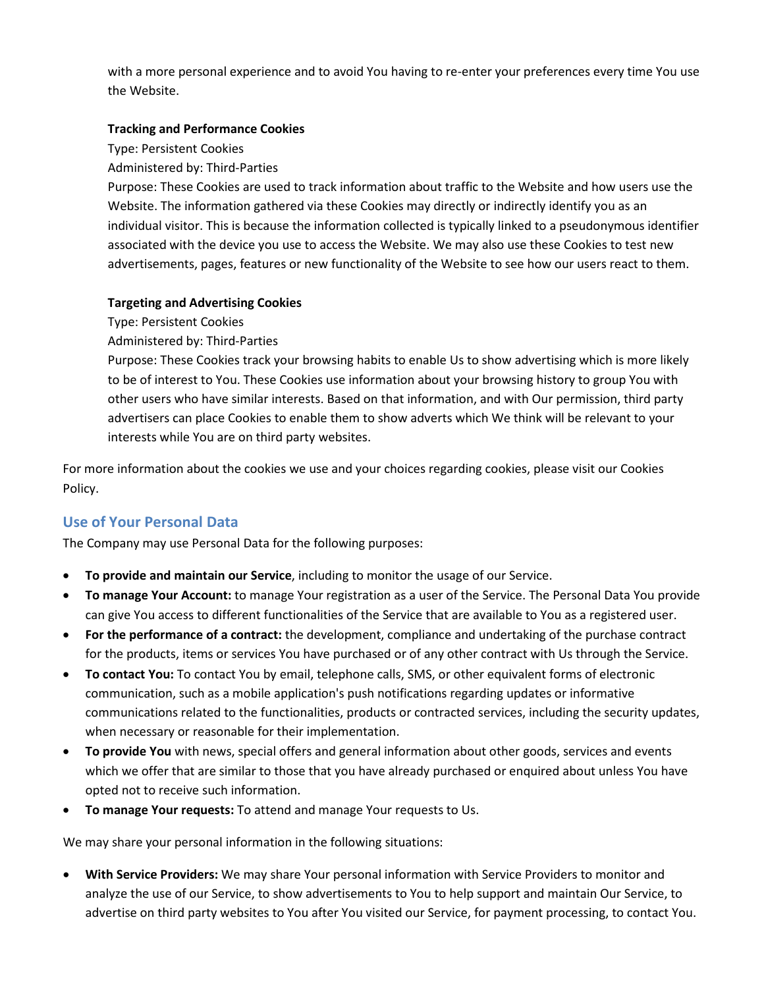with a more personal experience and to avoid You having to re-enter your preferences every time You use the Website.

#### **Tracking and Performance Cookies**

Type: Persistent Cookies

Administered by: Third-Parties

Purpose: These Cookies are used to track information about traffic to the Website and how users use the Website. The information gathered via these Cookies may directly or indirectly identify you as an individual visitor. This is because the information collected is typically linked to a pseudonymous identifier associated with the device you use to access the Website. We may also use these Cookies to test new advertisements, pages, features or new functionality of the Website to see how our users react to them.

#### **Targeting and Advertising Cookies**

Type: Persistent Cookies

Administered by: Third-Parties

Purpose: These Cookies track your browsing habits to enable Us to show advertising which is more likely to be of interest to You. These Cookies use information about your browsing history to group You with other users who have similar interests. Based on that information, and with Our permission, third party advertisers can place Cookies to enable them to show adverts which We think will be relevant to your interests while You are on third party websites.

For more information about the cookies we use and your choices regarding cookies, please visit our Cookies Policy.

### **Use of Your Personal Data**

The Company may use Personal Data for the following purposes:

- **To provide and maintain our Service**, including to monitor the usage of our Service.
- **To manage Your Account:** to manage Your registration as a user of the Service. The Personal Data You provide can give You access to different functionalities of the Service that are available to You as a registered user.
- **For the performance of a contract:** the development, compliance and undertaking of the purchase contract for the products, items or services You have purchased or of any other contract with Us through the Service.
- **To contact You:** To contact You by email, telephone calls, SMS, or other equivalent forms of electronic communication, such as a mobile application's push notifications regarding updates or informative communications related to the functionalities, products or contracted services, including the security updates, when necessary or reasonable for their implementation.
- **To provide You** with news, special offers and general information about other goods, services and events which we offer that are similar to those that you have already purchased or enquired about unless You have opted not to receive such information.
- **To manage Your requests:** To attend and manage Your requests to Us.

We may share your personal information in the following situations:

• **With Service Providers:** We may share Your personal information with Service Providers to monitor and analyze the use of our Service, to show advertisements to You to help support and maintain Our Service, to advertise on third party websites to You after You visited our Service, for payment processing, to contact You.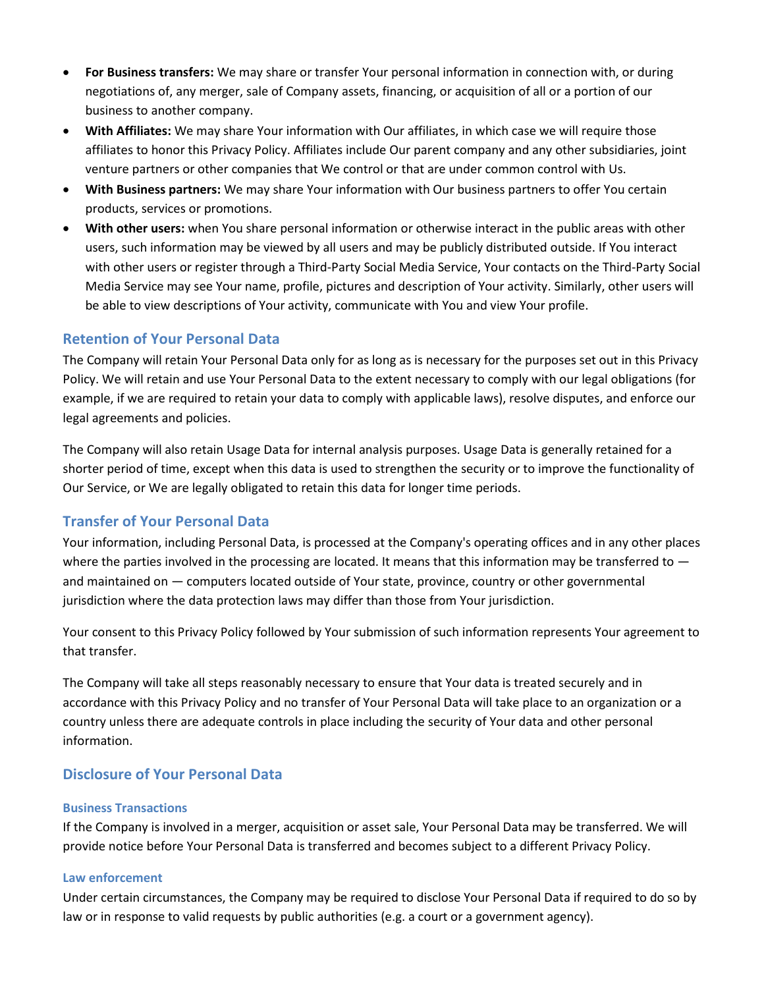- **For Business transfers:** We may share or transfer Your personal information in connection with, or during negotiations of, any merger, sale of Company assets, financing, or acquisition of all or a portion of our business to another company.
- **With Affiliates:** We may share Your information with Our affiliates, in which case we will require those affiliates to honor this Privacy Policy. Affiliates include Our parent company and any other subsidiaries, joint venture partners or other companies that We control or that are under common control with Us.
- **With Business partners:** We may share Your information with Our business partners to offer You certain products, services or promotions.
- **With other users:** when You share personal information or otherwise interact in the public areas with other users, such information may be viewed by all users and may be publicly distributed outside. If You interact with other users or register through a Third-Party Social Media Service, Your contacts on the Third-Party Social Media Service may see Your name, profile, pictures and description of Your activity. Similarly, other users will be able to view descriptions of Your activity, communicate with You and view Your profile.

### **Retention of Your Personal Data**

The Company will retain Your Personal Data only for as long as is necessary for the purposes set out in this Privacy Policy. We will retain and use Your Personal Data to the extent necessary to comply with our legal obligations (for example, if we are required to retain your data to comply with applicable laws), resolve disputes, and enforce our legal agreements and policies.

The Company will also retain Usage Data for internal analysis purposes. Usage Data is generally retained for a shorter period of time, except when this data is used to strengthen the security or to improve the functionality of Our Service, or We are legally obligated to retain this data for longer time periods.

#### **Transfer of Your Personal Data**

Your information, including Personal Data, is processed at the Company's operating offices and in any other places where the parties involved in the processing are located. It means that this information may be transferred to  $$ and maintained on — computers located outside of Your state, province, country or other governmental jurisdiction where the data protection laws may differ than those from Your jurisdiction.

Your consent to this Privacy Policy followed by Your submission of such information represents Your agreement to that transfer.

The Company will take all steps reasonably necessary to ensure that Your data is treated securely and in accordance with this Privacy Policy and no transfer of Your Personal Data will take place to an organization or a country unless there are adequate controls in place including the security of Your data and other personal information.

### **Disclosure of Your Personal Data**

#### **Business Transactions**

If the Company is involved in a merger, acquisition or asset sale, Your Personal Data may be transferred. We will provide notice before Your Personal Data is transferred and becomes subject to a different Privacy Policy.

#### **Law enforcement**

Under certain circumstances, the Company may be required to disclose Your Personal Data if required to do so by law or in response to valid requests by public authorities (e.g. a court or a government agency).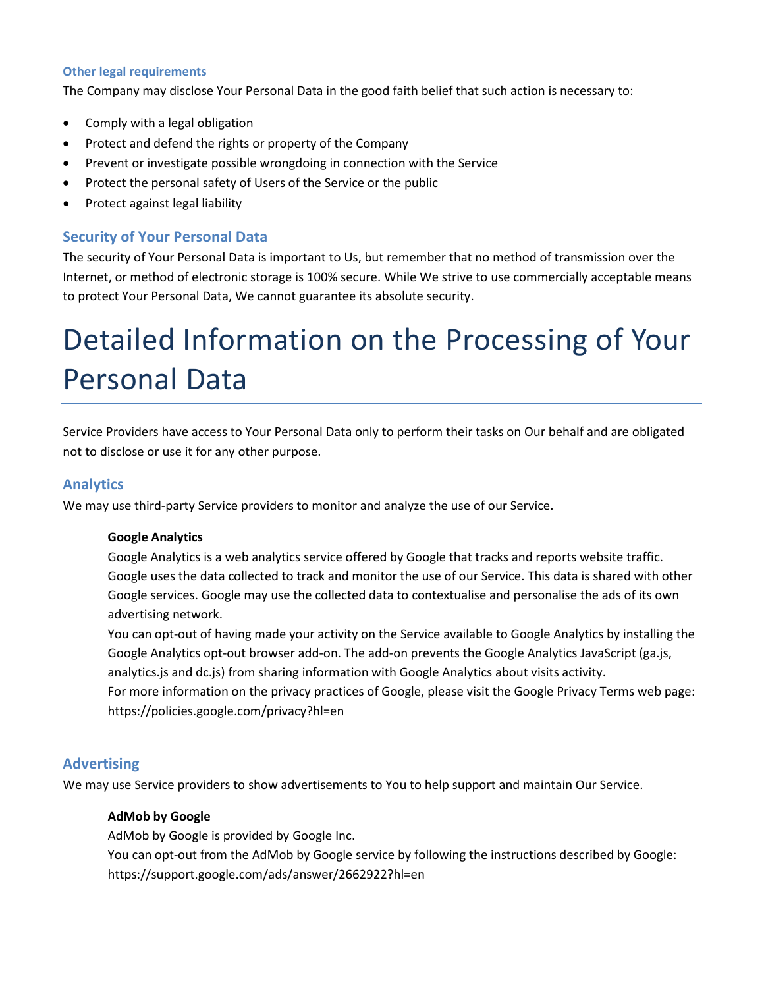#### **Other legal requirements**

The Company may disclose Your Personal Data in the good faith belief that such action is necessary to:

- Comply with a legal obligation
- Protect and defend the rights or property of the Company
- Prevent or investigate possible wrongdoing in connection with the Service
- Protect the personal safety of Users of the Service or the public
- Protect against legal liability

#### **Security of Your Personal Data**

The security of Your Personal Data is important to Us, but remember that no method of transmission over the Internet, or method of electronic storage is 100% secure. While We strive to use commercially acceptable means to protect Your Personal Data, We cannot guarantee its absolute security.

# Detailed Information on the Processing of Your Personal Data

Service Providers have access to Your Personal Data only to perform their tasks on Our behalf and are obligated not to disclose or use it for any other purpose.

#### **Analytics**

We may use third-party Service providers to monitor and analyze the use of our Service.

#### **Google Analytics**

Google Analytics is a web analytics service offered by Google that tracks and reports website traffic. Google uses the data collected to track and monitor the use of our Service. This data is shared with other Google services. Google may use the collected data to contextualise and personalise the ads of its own advertising network.

You can opt-out of having made your activity on the Service available to Google Analytics by installing the Google Analytics opt-out browser add-on. The add-on prevents the Google Analytics JavaScript (ga.js, analytics.js and dc.js) from sharing information with Google Analytics about visits activity.

For more information on the privacy practices of Google, please visit the Google Privacy Terms web page: <https://policies.google.com/privacy?hl=en>

#### **Advertising**

We may use Service providers to show advertisements to You to help support and maintain Our Service.

#### **AdMob by Google**

AdMob by Google is provided by Google Inc.

You can opt-out from the AdMob by Google service by following the instructions described by Google: <https://support.google.com/ads/answer/2662922?hl=en>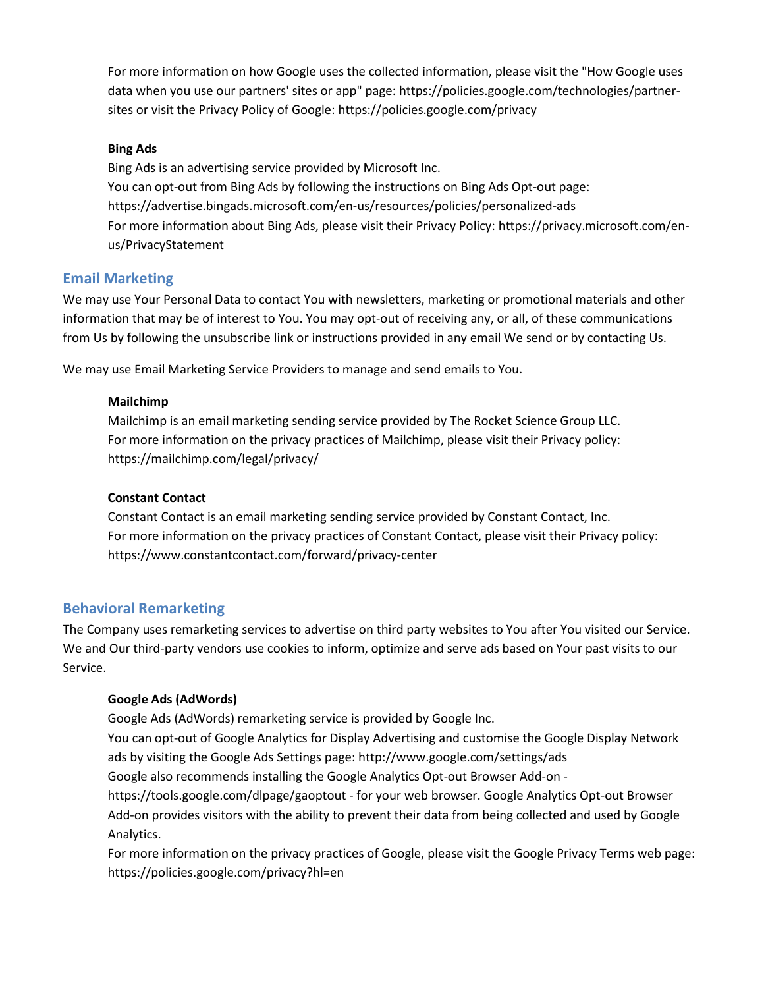For more information on how Google uses the collected information, please visit the "How Google uses data when you use our partners' sites or app" page: [https://policies.google.com/technologies/partner](https://policies.google.com/technologies/partner-sites)[sites](https://policies.google.com/technologies/partner-sites) or visit the Privacy Policy of Google:<https://policies.google.com/privacy>

#### **Bing Ads**

Bing Ads is an advertising service provided by Microsoft Inc. You can opt-out from Bing Ads by following the instructions on Bing Ads Opt-out page: <https://advertise.bingads.microsoft.com/en-us/resources/policies/personalized-ads> For more information about Bing Ads, please visit their Privacy Policy[: https://privacy.microsoft.com/en](https://privacy.microsoft.com/en-us/PrivacyStatement)[us/PrivacyStatement](https://privacy.microsoft.com/en-us/PrivacyStatement)

### **Email Marketing**

We may use Your Personal Data to contact You with newsletters, marketing or promotional materials and other information that may be of interest to You. You may opt-out of receiving any, or all, of these communications from Us by following the unsubscribe link or instructions provided in any email We send or by contacting Us.

We may use Email Marketing Service Providers to manage and send emails to You.

#### **Mailchimp**

Mailchimp is an email marketing sending service provided by The Rocket Science Group LLC. For more information on the privacy practices of Mailchimp, please visit their Privacy policy: <https://mailchimp.com/legal/privacy/>

#### **Constant Contact**

Constant Contact is an email marketing sending service provided by Constant Contact, Inc. For more information on the privacy practices of Constant Contact, please visit their Privacy policy: <https://www.constantcontact.com/forward/privacy-center>

#### **Behavioral Remarketing**

The Company uses remarketing services to advertise on third party websites to You after You visited our Service. We and Our third-party vendors use cookies to inform, optimize and serve ads based on Your past visits to our Service.

#### **Google Ads (AdWords)**

Google Ads (AdWords) remarketing service is provided by Google Inc.

You can opt-out of Google Analytics for Display Advertising and customise the Google Display Network ads by visiting the Google Ads Settings page:<http://www.google.com/settings/ads>

Google also recommends installing the Google Analytics Opt-out Browser Add-on -

<https://tools.google.com/dlpage/gaoptout> - for your web browser. Google Analytics Opt-out Browser Add-on provides visitors with the ability to prevent their data from being collected and used by Google Analytics.

For more information on the privacy practices of Google, please visit the Google Privacy Terms web page: <https://policies.google.com/privacy?hl=en>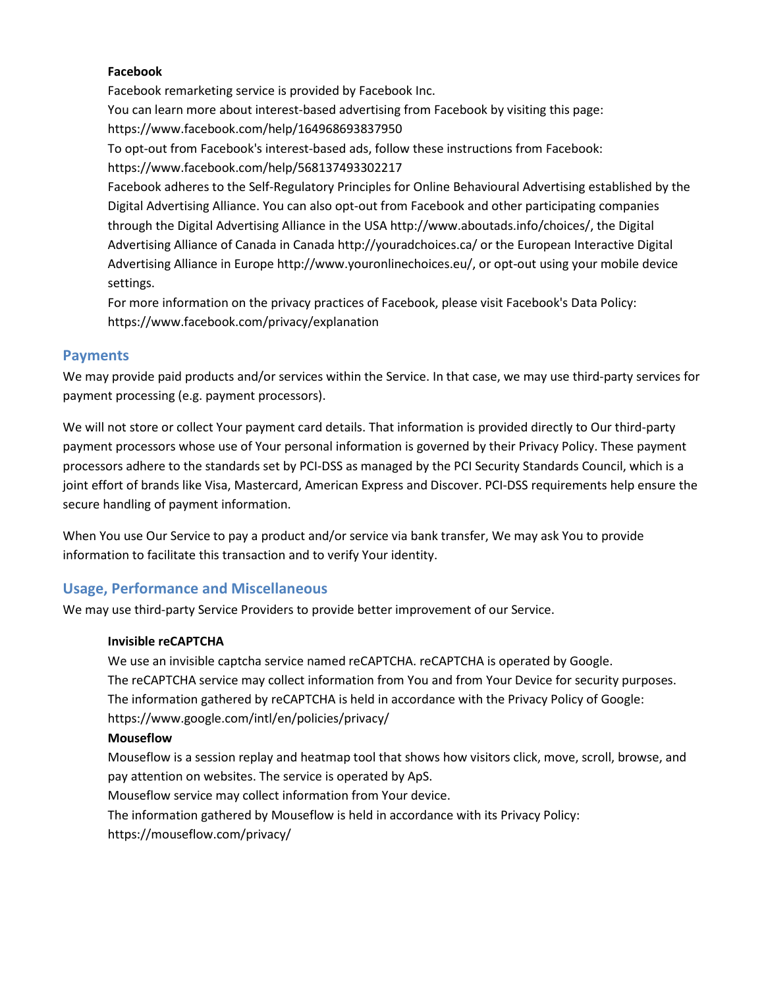#### **Facebook**

Facebook remarketing service is provided by Facebook Inc.

You can learn more about interest-based advertising from Facebook by visiting this page: <https://www.facebook.com/help/164968693837950>

To opt-out from Facebook's interest-based ads, follow these instructions from Facebook: <https://www.facebook.com/help/568137493302217>

Facebook adheres to the Self-Regulatory Principles for Online Behavioural Advertising established by the Digital Advertising Alliance. You can also opt-out from Facebook and other participating companies through the Digital Advertising Alliance in the USA [http://www.aboutads.info/choices/,](http://www.aboutads.info/choices/) the Digital Advertising Alliance of Canada in Canada<http://youradchoices.ca/> or the European Interactive Digital Advertising Alliance in Europe [http://www.youronlinechoices.eu/,](http://www.youronlinechoices.eu/) or opt-out using your mobile device settings.

For more information on the privacy practices of Facebook, please visit Facebook's Data Policy: <https://www.facebook.com/privacy/explanation>

#### **Payments**

We may provide paid products and/or services within the Service. In that case, we may use third-party services for payment processing (e.g. payment processors).

We will not store or collect Your payment card details. That information is provided directly to Our third-party payment processors whose use of Your personal information is governed by their Privacy Policy. These payment processors adhere to the standards set by PCI-DSS as managed by the PCI Security Standards Council, which is a joint effort of brands like Visa, Mastercard, American Express and Discover. PCI-DSS requirements help ensure the secure handling of payment information.

When You use Our Service to pay a product and/or service via bank transfer, We may ask You to provide information to facilitate this transaction and to verify Your identity.

#### **Usage, Performance and Miscellaneous**

We may use third-party Service Providers to provide better improvement of our Service.

#### **Invisible reCAPTCHA**

We use an invisible captcha service named reCAPTCHA. reCAPTCHA is operated by Google. The reCAPTCHA service may collect information from You and from Your Device for security purposes. The information gathered by reCAPTCHA is held in accordance with the Privacy Policy of Google: <https://www.google.com/intl/en/policies/privacy/>

#### **Mouseflow**

Mouseflow is a session replay and heatmap tool that shows how visitors click, move, scroll, browse, and pay attention on websites. The service is operated by ApS.

Mouseflow service may collect information from Your device.

The information gathered by Mouseflow is held in accordance with its Privacy Policy:

<https://mouseflow.com/privacy/>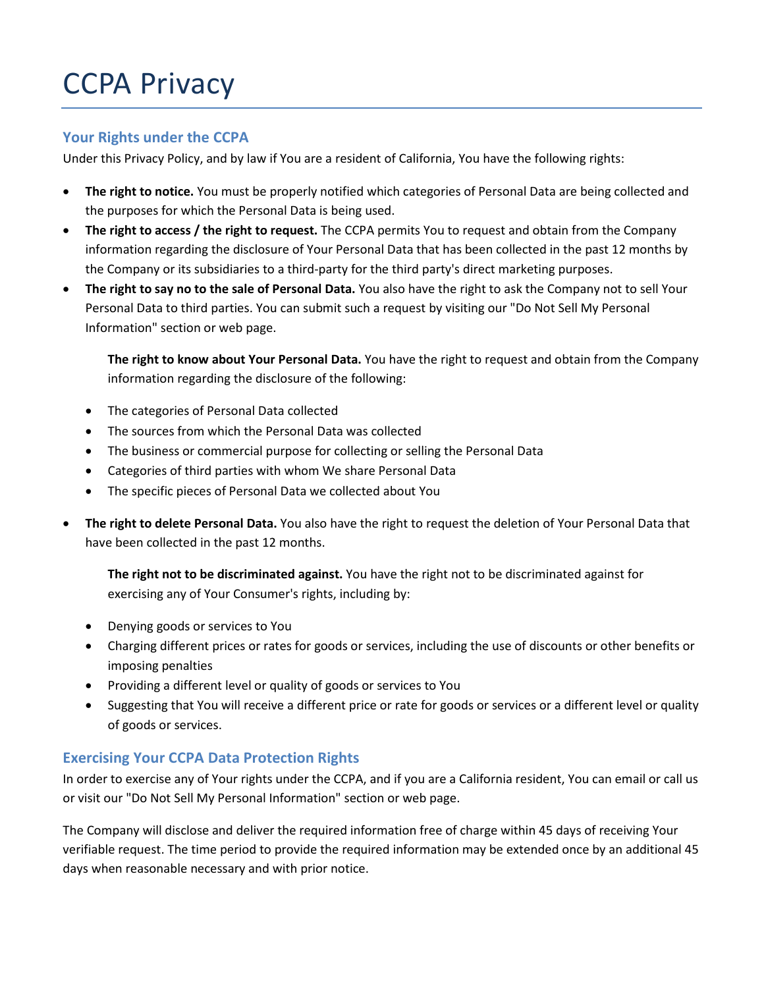# CCPA Privacy

## **Your Rights under the CCPA**

Under this Privacy Policy, and by law if You are a resident of California, You have the following rights:

- **The right to notice.** You must be properly notified which categories of Personal Data are being collected and the purposes for which the Personal Data is being used.
- **The right to access / the right to request.** The CCPA permits You to request and obtain from the Company information regarding the disclosure of Your Personal Data that has been collected in the past 12 months by the Company or its subsidiaries to a third-party for the third party's direct marketing purposes.
- **The right to say no to the sale of Personal Data.** You also have the right to ask the Company not to sell Your Personal Data to third parties. You can submit such a request by visiting our "Do Not Sell My Personal Information" section or web page.

**The right to know about Your Personal Data.** You have the right to request and obtain from the Company information regarding the disclosure of the following:

- The categories of Personal Data collected
- The sources from which the Personal Data was collected
- The business or commercial purpose for collecting or selling the Personal Data
- Categories of third parties with whom We share Personal Data
- The specific pieces of Personal Data we collected about You
- **The right to delete Personal Data.** You also have the right to request the deletion of Your Personal Data that have been collected in the past 12 months.

**The right not to be discriminated against.** You have the right not to be discriminated against for exercising any of Your Consumer's rights, including by:

- Denying goods or services to You
- Charging different prices or rates for goods or services, including the use of discounts or other benefits or imposing penalties
- Providing a different level or quality of goods or services to You
- Suggesting that You will receive a different price or rate for goods or services or a different level or quality of goods or services.

### **Exercising Your CCPA Data Protection Rights**

In order to exercise any of Your rights under the CCPA, and if you are a California resident, You can email or call us or visit our "Do Not Sell My Personal Information" section or web page.

The Company will disclose and deliver the required information free of charge within 45 days of receiving Your verifiable request. The time period to provide the required information may be extended once by an additional 45 days when reasonable necessary and with prior notice.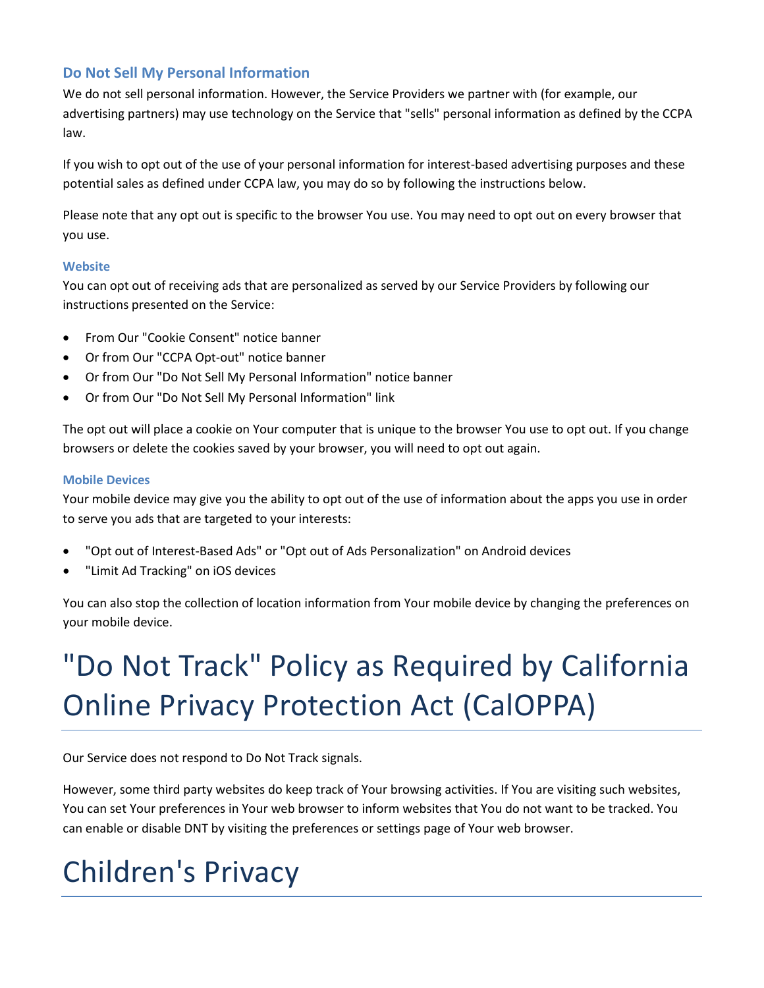### **Do Not Sell My Personal Information**

We do not sell personal information. However, the Service Providers we partner with (for example, our advertising partners) may use technology on the Service that "sells" personal information as defined by the CCPA law.

If you wish to opt out of the use of your personal information for interest-based advertising purposes and these potential sales as defined under CCPA law, you may do so by following the instructions below.

Please note that any opt out is specific to the browser You use. You may need to opt out on every browser that you use.

#### **Website**

You can opt out of receiving ads that are personalized as served by our Service Providers by following our instructions presented on the Service:

- From Our "Cookie Consent" notice banner
- Or from Our "CCPA Opt-out" notice banner
- Or from Our "Do Not Sell My Personal Information" notice banner
- Or from Our "Do Not Sell My Personal Information" link

The opt out will place a cookie on Your computer that is unique to the browser You use to opt out. If you change browsers or delete the cookies saved by your browser, you will need to opt out again.

#### **Mobile Devices**

Your mobile device may give you the ability to opt out of the use of information about the apps you use in order to serve you ads that are targeted to your interests:

- "Opt out of Interest-Based Ads" or "Opt out of Ads Personalization" on Android devices
- "Limit Ad Tracking" on iOS devices

You can also stop the collection of location information from Your mobile device by changing the preferences on your mobile device.

# "Do Not Track" Policy as Required by California Online Privacy Protection Act (CalOPPA)

Our Service does not respond to Do Not Track signals.

However, some third party websites do keep track of Your browsing activities. If You are visiting such websites, You can set Your preferences in Your web browser to inform websites that You do not want to be tracked. You can enable or disable DNT by visiting the preferences or settings page of Your web browser.

# Children's Privacy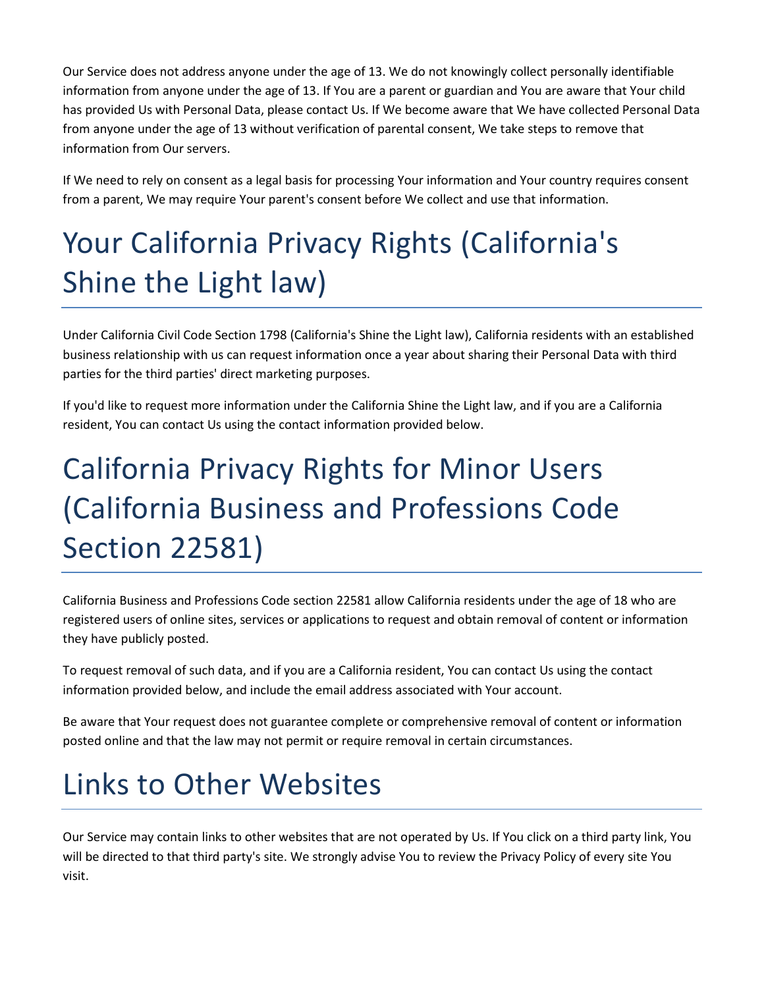Our Service does not address anyone under the age of 13. We do not knowingly collect personally identifiable information from anyone under the age of 13. If You are a parent or guardian and You are aware that Your child has provided Us with Personal Data, please contact Us. If We become aware that We have collected Personal Data from anyone under the age of 13 without verification of parental consent, We take steps to remove that information from Our servers.

If We need to rely on consent as a legal basis for processing Your information and Your country requires consent from a parent, We may require Your parent's consent before We collect and use that information.

# Your California Privacy Rights (California's Shine the Light law)

Under California Civil Code Section 1798 (California's Shine the Light law), California residents with an established business relationship with us can request information once a year about sharing their Personal Data with third parties for the third parties' direct marketing purposes.

If you'd like to request more information under the California Shine the Light law, and if you are a California resident, You can contact Us using the contact information provided below.

# California Privacy Rights for Minor Users (California Business and Professions Code Section 22581)

California Business and Professions Code section 22581 allow California residents under the age of 18 who are registered users of online sites, services or applications to request and obtain removal of content or information they have publicly posted.

To request removal of such data, and if you are a California resident, You can contact Us using the contact information provided below, and include the email address associated with Your account.

Be aware that Your request does not guarantee complete or comprehensive removal of content or information posted online and that the law may not permit or require removal in certain circumstances.

# Links to Other Websites

Our Service may contain links to other websites that are not operated by Us. If You click on a third party link, You will be directed to that third party's site. We strongly advise You to review the Privacy Policy of every site You visit.